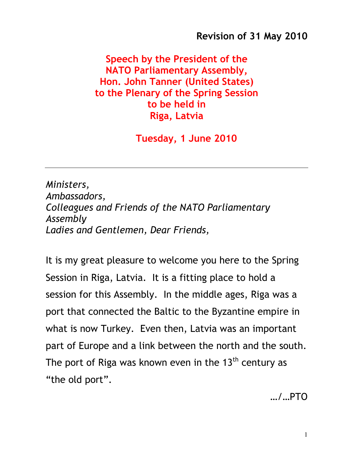Revision of 31 May 2010

Speech by the President of the NATO Parliamentary Assembly, Hon. John Tanner (United States) to the Plenary of the Spring Session to be held in Riga, Latvia

Tuesday, 1 June 2010

Ministers, Ambassadors, Colleagues and Friends of the NATO Parliamentary Assembly Ladies and Gentlemen, Dear Friends,

It is my great pleasure to welcome you here to the Spring Session in Riga, Latvia. It is a fitting place to hold a session for this Assembly. In the middle ages, Riga was a port that connected the Baltic to the Byzantine empire in what is now Turkey. Even then, Latvia was an important part of Europe and a link between the north and the south. The port of Riga was known even in the  $13<sup>th</sup>$  century as "the old port".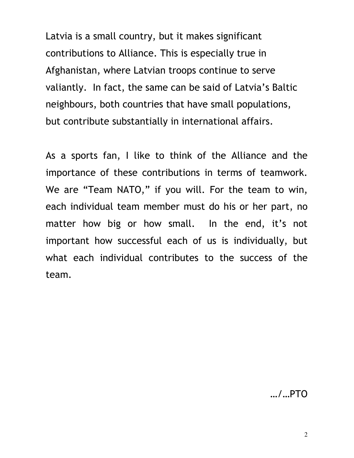Latvia is a small country, but it makes significant contributions to Alliance. This is especially true in Afghanistan, where Latvian troops continue to serve valiantly. In fact, the same can be said of Latvia's Baltic neighbours, both countries that have small populations, but contribute substantially in international affairs.

As a sports fan, I like to think of the Alliance and the importance of these contributions in terms of teamwork. We are "Team NATO," if you will. For the team to win, each individual team member must do his or her part, no matter how big or how small. In the end, it's not important how successful each of us is individually, but what each individual contributes to the success of the team.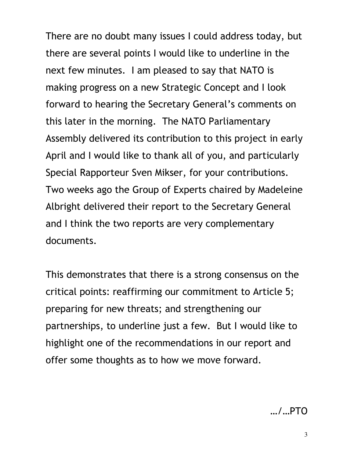There are no doubt many issues I could address today, but there are several points I would like to underline in the next few minutes. I am pleased to say that NATO is making progress on a new Strategic Concept and I look forward to hearing the Secretary General's comments on this later in the morning. The NATO Parliamentary Assembly delivered its contribution to this project in early April and I would like to thank all of you, and particularly Special Rapporteur Sven Mikser, for your contributions. Two weeks ago the Group of Experts chaired by Madeleine Albright delivered their report to the Secretary General and I think the two reports are very complementary documents.

This demonstrates that there is a strong consensus on the critical points: reaffirming our commitment to Article 5; preparing for new threats; and strengthening our partnerships, to underline just a few. But I would like to highlight one of the recommendations in our report and offer some thoughts as to how we move forward.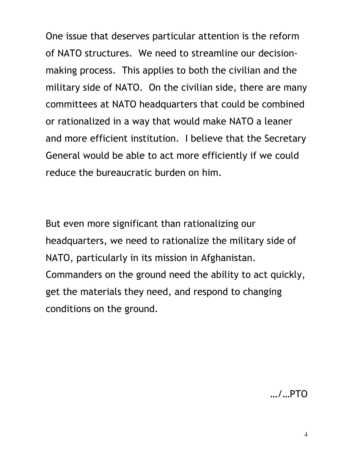One issue that deserves particular attention is the reform of NATO structures. We need to streamline our decisionmaking process. This applies to both the civilian and the military side of NATO. On the civilian side, there are many committees at NATO headquarters that could be combined or rationalized in a way that would make NATO a leaner and more efficient institution. I believe that the Secretary General would be able to act more efficiently if we could reduce the bureaucratic burden on him.

But even more significant than rationalizing our headquarters, we need to rationalize the military side of NATO, particularly in its mission in Afghanistan. Commanders on the ground need the ability to act quickly, get the materials they need, and respond to changing conditions on the ground.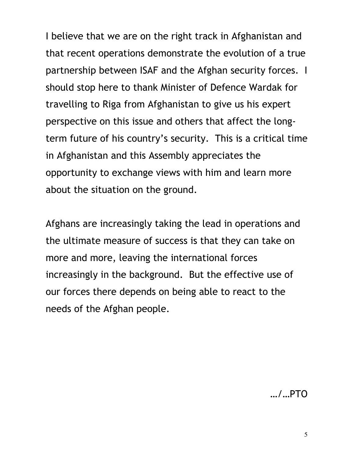I believe that we are on the right track in Afghanistan and that recent operations demonstrate the evolution of a true partnership between ISAF and the Afghan security forces. I should stop here to thank Minister of Defence Wardak for travelling to Riga from Afghanistan to give us his expert perspective on this issue and others that affect the longterm future of his country's security. This is a critical time in Afghanistan and this Assembly appreciates the opportunity to exchange views with him and learn more about the situation on the ground.

Afghans are increasingly taking the lead in operations and the ultimate measure of success is that they can take on more and more, leaving the international forces increasingly in the background. But the effective use of our forces there depends on being able to react to the needs of the Afghan people.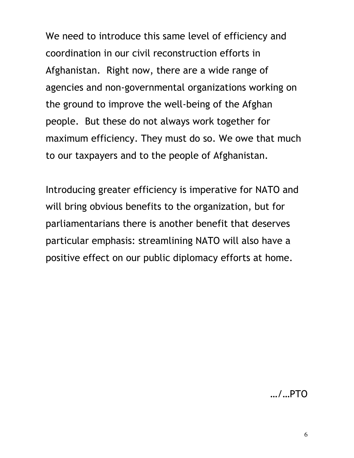We need to introduce this same level of efficiency and coordination in our civil reconstruction efforts in Afghanistan. Right now, there are a wide range of agencies and non-governmental organizations working on the ground to improve the well-being of the Afghan people. But these do not always work together for maximum efficiency. They must do so. We owe that much to our taxpayers and to the people of Afghanistan.

Introducing greater efficiency is imperative for NATO and will bring obvious benefits to the organization, but for parliamentarians there is another benefit that deserves particular emphasis: streamlining NATO will also have a positive effect on our public diplomacy efforts at home.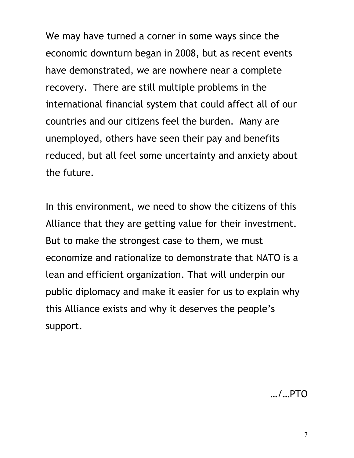We may have turned a corner in some ways since the economic downturn began in 2008, but as recent events have demonstrated, we are nowhere near a complete recovery. There are still multiple problems in the international financial system that could affect all of our countries and our citizens feel the burden. Many are unemployed, others have seen their pay and benefits reduced, but all feel some uncertainty and anxiety about the future.

In this environment, we need to show the citizens of this Alliance that they are getting value for their investment. But to make the strongest case to them, we must economize and rationalize to demonstrate that NATO is a lean and efficient organization. That will underpin our public diplomacy and make it easier for us to explain why this Alliance exists and why it deserves the people's support.